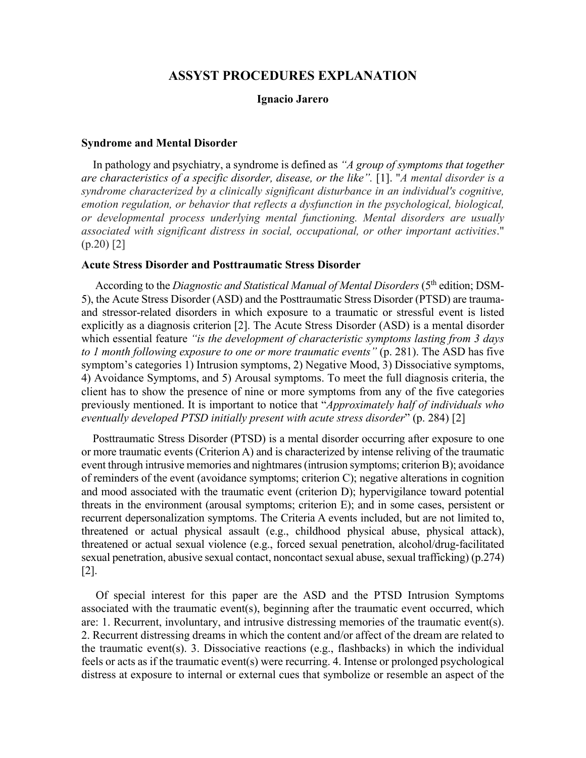# **ASSYST PROCEDURES EXPLANATION**

#### **Ignacio Jarero**

#### **Syndrome and Mental Disorder**

 In pathology and psychiatry, a syndrome is defined as *"A group of symptoms that together are characteristics of a specific disorder, disease, or the like".* [1]. "*A mental disorder is a syndrome characterized by a clinically significant disturbance in an individual's cognitive, emotion regulation, or behavior that reflects a dysfunction in the psychological, biological, or developmental process underlying mental functioning. Mental disorders are usually associated with significant distress in social, occupational, or other important activities*."  $(p.20)$  [2]

## **Acute Stress Disorder and Posttraumatic Stress Disorder**

 According to the *Diagnostic and Statistical Manual of Mental Disorders* (5th edition; DSM-5), the Acute Stress Disorder (ASD) and the Posttraumatic Stress Disorder (PTSD) are traumaand stressor-related disorders in which exposure to a traumatic or stressful event is listed explicitly as a diagnosis criterion [2]. The Acute Stress Disorder (ASD) is a mental disorder which essential feature *"is the development of characteristic symptoms lasting from 3 days to 1 month following exposure to one or more traumatic events"* (p. 281). The ASD has five symptom's categories 1) Intrusion symptoms, 2) Negative Mood, 3) Dissociative symptoms, 4) Avoidance Symptoms, and 5) Arousal symptoms. To meet the full diagnosis criteria, the client has to show the presence of nine or more symptoms from any of the five categories previously mentioned. It is important to notice that "*Approximately half of individuals who eventually developed PTSD initially present with acute stress disorder*" (p. 284) [2]

Posttraumatic Stress Disorder (PTSD) is a mental disorder occurring after exposure to one or more traumatic events (Criterion A) and is characterized by intense reliving of the traumatic event through intrusive memories and nightmares (intrusion symptoms; criterion B); avoidance of reminders of the event (avoidance symptoms; criterion C); negative alterations in cognition and mood associated with the traumatic event (criterion D); hypervigilance toward potential threats in the environment (arousal symptoms; criterion E); and in some cases, persistent or recurrent depersonalization symptoms. The Criteria A events included, but are not limited to, threatened or actual physical assault (e.g., childhood physical abuse, physical attack), threatened or actual sexual violence (e.g., forced sexual penetration, alcohol/drug-facilitated sexual penetration, abusive sexual contact, noncontact sexual abuse, sexual trafficking) (p.274) [2].

 Of special interest for this paper are the ASD and the PTSD Intrusion Symptoms associated with the traumatic event(s), beginning after the traumatic event occurred, which are: 1. Recurrent, involuntary, and intrusive distressing memories of the traumatic event(s). 2. Recurrent distressing dreams in which the content and/or affect of the dream are related to the traumatic event(s). 3. Dissociative reactions (e.g., flashbacks) in which the individual feels or acts as if the traumatic event(s) were recurring. 4. Intense or prolonged psychological distress at exposure to internal or external cues that symbolize or resemble an aspect of the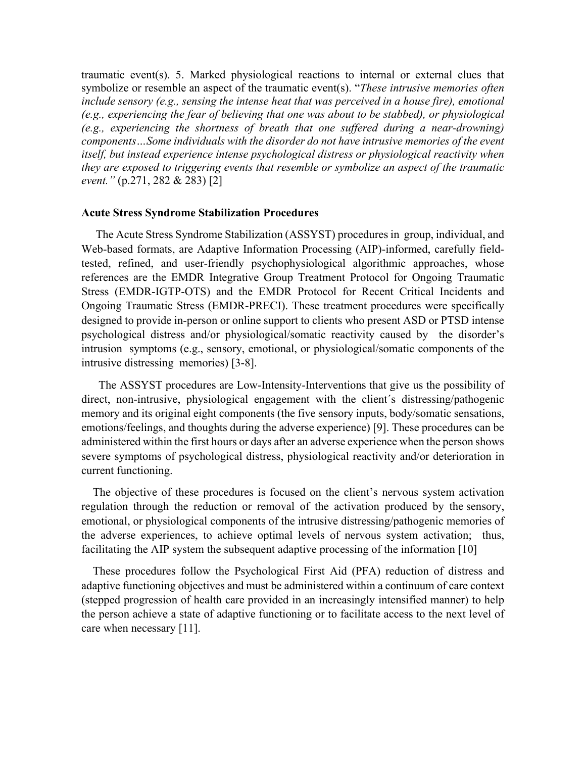traumatic event(s). 5. Marked physiological reactions to internal or external clues that symbolize or resemble an aspect of the traumatic event(s). "*These intrusive memories often*  include sensory (e.g., sensing the intense heat that was perceived in a house fire), emotional *(e.g., experiencing the fear of believing that one was about to be stabbed), or physiological (e.g., experiencing the shortness of breath that one suffered during a near-drowning) components…Some individuals with the disorder do not have intrusive memories of the event itself, but instead experience intense psychological distress or physiological reactivity when they are exposed to triggering events that resemble or symbolize an aspect of the traumatic event."* (p.271, 282 & 283) [2]

### **Acute Stress Syndrome Stabilization Procedures**

 The Acute Stress Syndrome Stabilization (ASSYST) procedures in group, individual, and Web-based formats, are Adaptive Information Processing (AIP)-informed, carefully fieldtested, refined, and user-friendly psychophysiological algorithmic approaches, whose references are the EMDR Integrative Group Treatment Protocol for Ongoing Traumatic Stress (EMDR-IGTP-OTS) and the EMDR Protocol for Recent Critical Incidents and Ongoing Traumatic Stress (EMDR-PRECI). These treatment procedures were specifically designed to provide in-person or online support to clients who present ASD or PTSD intense psychological distress and/or physiological/somatic reactivity caused by the disorder's intrusion symptoms (e.g., sensory, emotional, or physiological/somatic components of the intrusive distressing memories) [3-8].

 The ASSYST procedures are Low-Intensity-Interventions that give us the possibility of direct, non-intrusive, physiological engagement with the client´s distressing/pathogenic memory and its original eight components (the five sensory inputs, body/somatic sensations, emotions/feelings, and thoughts during the adverse experience) [9]. These procedures can be administered within the first hours or days after an adverse experience when the person shows severe symptoms of psychological distress, physiological reactivity and/or deterioration in current functioning.

 The objective of these procedures is focused on the client's nervous system activation regulation through the reduction or removal of the activation produced by the sensory, emotional, or physiological components of the intrusive distressing/pathogenic memories of the adverse experiences, to achieve optimal levels of nervous system activation; thus, facilitating the AIP system the subsequent adaptive processing of the information [10]

 These procedures follow the Psychological First Aid (PFA) reduction of distress and adaptive functioning objectives and must be administered within a continuum of care context (stepped progression of health care provided in an increasingly intensified manner) to help the person achieve a state of adaptive functioning or to facilitate access to the next level of care when necessary [11].